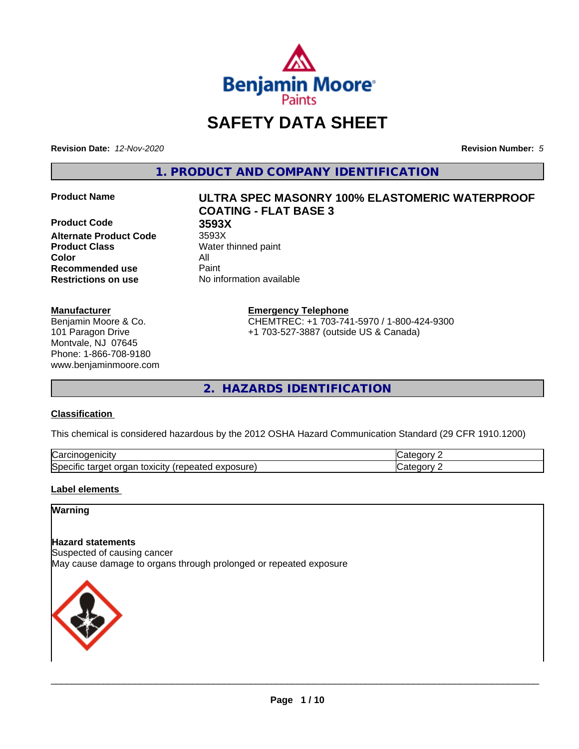

# **SAFETY DATA SHEET**

**Revision Date:** *12-Nov-2020* **Revision Number:** *5*

**1. PRODUCT AND COMPANY IDENTIFICATION**

**Product Code 3593X Alternate Product Code** 3593X **Product Class** Water thinned paint **Color** All **Recommended use** Paint **Restrictions on use** No information available

#### **Manufacturer**

Benjamin Moore & Co. 101 Paragon Drive Montvale, NJ 07645 Phone: 1-866-708-9180 www.benjaminmoore.com

# **Product Name ULTRA SPEC MASONRY 100% ELASTOMERIC WATERPROOF COATING - FLAT BASE 3**

**Emergency Telephone**

CHEMTREC: +1 703-741-5970 / 1-800-424-9300 +1 703-527-3887 (outside US & Canada)

**2. HAZARDS IDENTIFICATION**

#### **Classification**

This chemical is considered hazardous by the 2012 OSHA Hazard Communication Standard (29 CFR 1910.1200)

| ∽<br>AICID<br>vai                                                                                                         | - 10       |
|---------------------------------------------------------------------------------------------------------------------------|------------|
| ∽<br><b>posure</b><br>exr<br>organ<br>Spe <sup>r</sup><br>target<br>toxicity<br>tar<br>repe.<br>CIHC<br>$\sim$ -different | ---<br>. . |

#### **Label elements**

# **Warning**

#### **Hazard statements**

Suspected of causing cancer May cause damage to organs through prolonged or repeated exposure

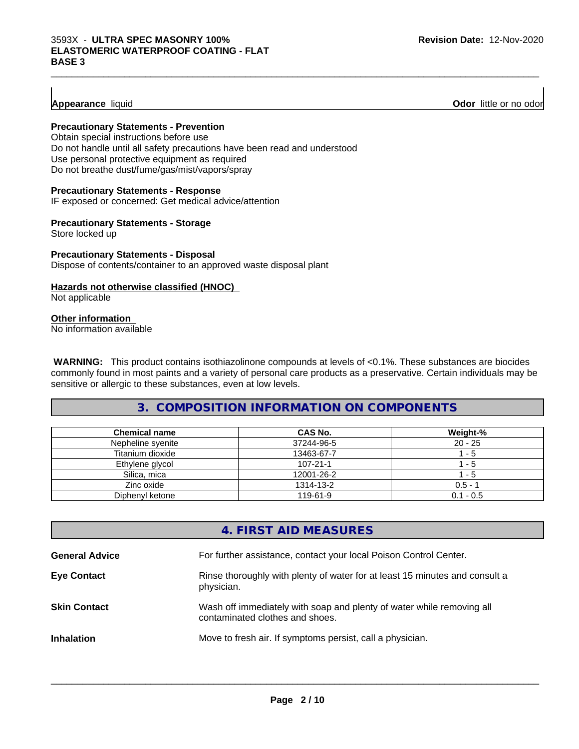### **Appearance** liquid

**Odor** little or no odor

#### **Precautionary Statements - Prevention**

Obtain special instructions before use Do not handle until all safety precautions have been read and understood Use personal protective equipment as required Do not breathe dust/fume/gas/mist/vapors/spray

#### **Precautionary Statements - Response**

IF exposed or concerned: Get medical advice/attention

#### **Precautionary Statements - Storage**

Store locked up

#### **Precautionary Statements - Disposal** Dispose of contents/container to an approved waste disposal plant

#### **Hazards not otherwise classified (HNOC)**

Not applicable

#### **Other information**

No information available

 **WARNING:** This product contains isothiazolinone compounds at levels of <0.1%. These substances are biocides commonly found in most paints and a variety of personal care products as a preservative. Certain individuals may be sensitive or allergic to these substances, even at low levels.

 $\_$  ,  $\_$  ,  $\_$  ,  $\_$  ,  $\_$  ,  $\_$  ,  $\_$  ,  $\_$  ,  $\_$  ,  $\_$  ,  $\_$  ,  $\_$  ,  $\_$  ,  $\_$  ,  $\_$  ,  $\_$  ,  $\_$  ,  $\_$  ,  $\_$  ,  $\_$  ,  $\_$  ,  $\_$  ,  $\_$  ,  $\_$  ,  $\_$  ,  $\_$  ,  $\_$  ,  $\_$  ,  $\_$  ,  $\_$  ,  $\_$  ,  $\_$  ,  $\_$  ,  $\_$  ,  $\_$  ,  $\_$  ,  $\_$  ,

# **3. COMPOSITION INFORMATION ON COMPONENTS**

| <b>Chemical name</b> | CAS No.        | Weight-%    |
|----------------------|----------------|-------------|
| Nepheline syenite    | 37244-96-5     | $20 - 25$   |
| Titanium dioxide     | 13463-67-7     | - 5         |
| Ethylene glycol      | $107 - 21 - 1$ | - 5         |
| Silica, mica         | 12001-26-2     | - 5         |
| Zinc oxide           | 1314-13-2      | $0.5 - 1$   |
| Diphenyl ketone      | 119-61-9       | $0.1 - 0.5$ |

|                       | 4. FIRST AID MEASURES                                                                                    |
|-----------------------|----------------------------------------------------------------------------------------------------------|
| <b>General Advice</b> | For further assistance, contact your local Poison Control Center.                                        |
| <b>Eye Contact</b>    | Rinse thoroughly with plenty of water for at least 15 minutes and consult a<br>physician.                |
| <b>Skin Contact</b>   | Wash off immediately with soap and plenty of water while removing all<br>contaminated clothes and shoes. |
| <b>Inhalation</b>     | Move to fresh air. If symptoms persist, call a physician.                                                |
|                       |                                                                                                          |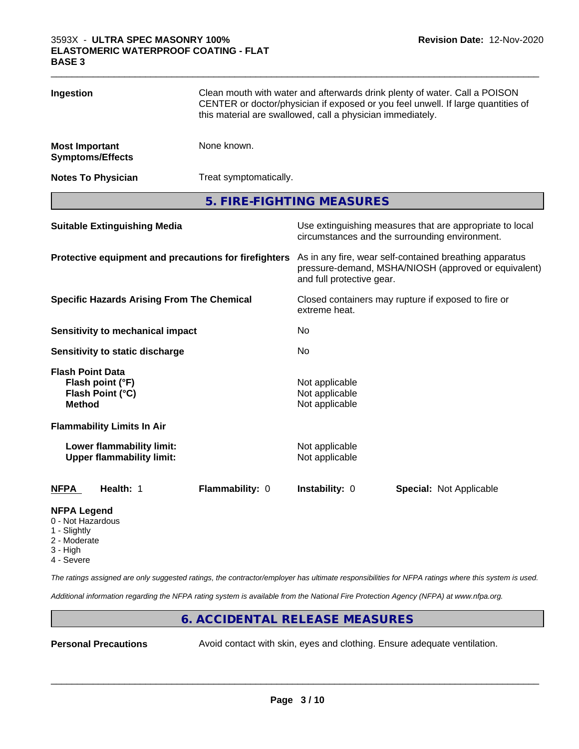| Ingestion                                                                        |                                                               | Clean mouth with water and afterwards drink plenty of water. Call a POISON<br>CENTER or doctor/physician if exposed or you feel unwell. If large quantities of<br>this material are swallowed, call a physician immediately. |                                                    |  |                                                                                                                 |  |
|----------------------------------------------------------------------------------|---------------------------------------------------------------|------------------------------------------------------------------------------------------------------------------------------------------------------------------------------------------------------------------------------|----------------------------------------------------|--|-----------------------------------------------------------------------------------------------------------------|--|
| <b>Most Important</b><br><b>Symptoms/Effects</b>                                 |                                                               | None known.                                                                                                                                                                                                                  |                                                    |  |                                                                                                                 |  |
| <b>Notes To Physician</b>                                                        |                                                               | Treat symptomatically.                                                                                                                                                                                                       |                                                    |  |                                                                                                                 |  |
|                                                                                  |                                                               | 5. FIRE-FIGHTING MEASURES                                                                                                                                                                                                    |                                                    |  |                                                                                                                 |  |
|                                                                                  | <b>Suitable Extinguishing Media</b>                           |                                                                                                                                                                                                                              | circumstances and the surrounding environment.     |  | Use extinguishing measures that are appropriate to local                                                        |  |
|                                                                                  |                                                               | Protective equipment and precautions for firefighters                                                                                                                                                                        | and full protective gear.                          |  | As in any fire, wear self-contained breathing apparatus<br>pressure-demand, MSHA/NIOSH (approved or equivalent) |  |
|                                                                                  | <b>Specific Hazards Arising From The Chemical</b>             |                                                                                                                                                                                                                              | extreme heat.                                      |  | Closed containers may rupture if exposed to fire or                                                             |  |
|                                                                                  | <b>Sensitivity to mechanical impact</b>                       |                                                                                                                                                                                                                              | No                                                 |  |                                                                                                                 |  |
|                                                                                  | Sensitivity to static discharge                               |                                                                                                                                                                                                                              | No                                                 |  |                                                                                                                 |  |
| <b>Flash Point Data</b><br>Flash point (°F)<br>Flash Point (°C)<br><b>Method</b> |                                                               |                                                                                                                                                                                                                              | Not applicable<br>Not applicable<br>Not applicable |  |                                                                                                                 |  |
|                                                                                  | <b>Flammability Limits In Air</b>                             |                                                                                                                                                                                                                              |                                                    |  |                                                                                                                 |  |
|                                                                                  | Lower flammability limit:<br><b>Upper flammability limit:</b> |                                                                                                                                                                                                                              | Not applicable<br>Not applicable                   |  |                                                                                                                 |  |
| NFPA                                                                             | Health: 1                                                     | Flammability: 0                                                                                                                                                                                                              | Instability: 0                                     |  | <b>Special: Not Applicable</b>                                                                                  |  |
| <b>NFPA Leaend</b>                                                               |                                                               |                                                                                                                                                                                                                              |                                                    |  |                                                                                                                 |  |

- 0 Not Hazardous
- 1 Slightly
- 2 Moderate
- 3 High 4 - Severe

*The ratings assigned are only suggested ratings, the contractor/employer has ultimate responsibilities for NFPA ratings where this system is used.*

*Additional information regarding the NFPA rating system is available from the National Fire Protection Agency (NFPA) at www.nfpa.org.*

#### **6. ACCIDENTAL RELEASE MEASURES**

**Personal Precautions** Avoid contact with skin, eyes and clothing. Ensure adequate ventilation.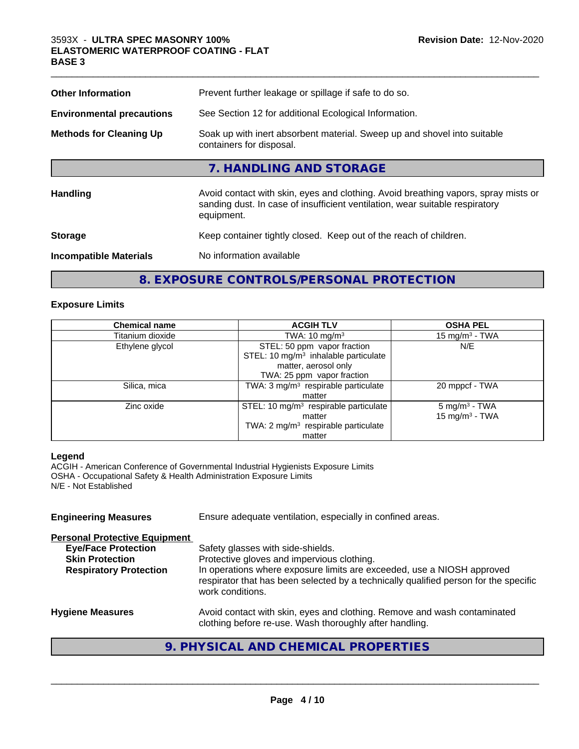| <b>Other Information</b>         | Prevent further leakage or spillage if safe to do so.                                                                                                                            |
|----------------------------------|----------------------------------------------------------------------------------------------------------------------------------------------------------------------------------|
| <b>Environmental precautions</b> | See Section 12 for additional Ecological Information.                                                                                                                            |
| <b>Methods for Cleaning Up</b>   | Soak up with inert absorbent material. Sweep up and shovel into suitable<br>containers for disposal.                                                                             |
|                                  | 7. HANDLING AND STORAGE                                                                                                                                                          |
| <b>Handling</b>                  | Avoid contact with skin, eyes and clothing. Avoid breathing vapors, spray mists or<br>sanding dust. In case of insufficient ventilation, wear suitable respiratory<br>equipment. |
| <b>Storage</b>                   | Keep container tightly closed. Keep out of the reach of children.                                                                                                                |
| <b>Incompatible Materials</b>    | No information available                                                                                                                                                         |

# **8. EXPOSURE CONTROLS/PERSONAL PROTECTION**

#### **Exposure Limits**

| <b>Chemical name</b> | <b>ACGIH TLV</b>                                  | <b>OSHA PEL</b>           |
|----------------------|---------------------------------------------------|---------------------------|
| Titanium dioxide     | TWA: $10 \text{ mg/m}^3$                          | 15 mg/m $3$ - TWA         |
| Ethylene glycol      | STEL: 50 ppm vapor fraction                       | N/E                       |
|                      | STEL: 10 mg/m <sup>3</sup> inhalable particulate  |                           |
|                      | matter, aerosol only                              |                           |
|                      | TWA: 25 ppm vapor fraction                        |                           |
| Silica, mica         | TWA: 3 mg/m <sup>3</sup> respirable particulate   | 20 mppcf - TWA            |
|                      | matter                                            |                           |
| Zinc oxide           | STEL: 10 mg/m <sup>3</sup> respirable particulate | 5 mg/m <sup>3</sup> - TWA |
|                      | matter                                            | 15 mg/m $3$ - TWA         |
|                      | TWA: 2 mg/m <sup>3</sup> respirable particulate   |                           |
|                      | matter                                            |                           |

#### **Legend**

ACGIH - American Conference of Governmental Industrial Hygienists Exposure Limits OSHA - Occupational Safety & Health Administration Exposure Limits N/E - Not Established

| <b>Engineering Measures</b>                                                                                                   | Ensure adequate ventilation, especially in confined areas.                                                                                                                                                                                                            |
|-------------------------------------------------------------------------------------------------------------------------------|-----------------------------------------------------------------------------------------------------------------------------------------------------------------------------------------------------------------------------------------------------------------------|
| <b>Personal Protective Equipment</b><br><b>Eye/Face Protection</b><br><b>Skin Protection</b><br><b>Respiratory Protection</b> | Safety glasses with side-shields.<br>Protective gloves and impervious clothing.<br>In operations where exposure limits are exceeded, use a NIOSH approved<br>respirator that has been selected by a technically qualified person for the specific<br>work conditions. |
| <b>Hygiene Measures</b>                                                                                                       | Avoid contact with skin, eyes and clothing. Remove and wash contaminated<br>clothing before re-use. Wash thoroughly after handling.                                                                                                                                   |

# **9. PHYSICAL AND CHEMICAL PROPERTIES**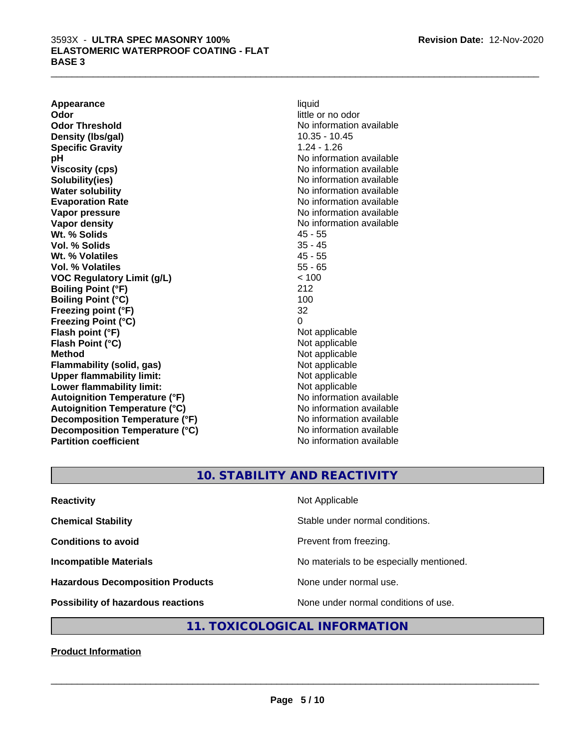**Appearance** liquid **Odor** little or no odor **Odor Threshold** No information available **Density (Ibs/gal)** 10.35 - 10.45 **Specific Gravity** 1.24 - 1.26 **pH pH**  $\blacksquare$ **Viscosity (cps)** No information available Notice 1, 1999 **Solubility(ies)** No information available in the solution of the solution of the solution available in the solution of the solution of the solution of the solution of the solution of the solution of the solution of the so **Water solubility** No information available **Evaporation Rate No information available No information available Vapor pressure**<br> **Vapor density**<br> **Vapor density**<br> **Vapor density**<br> **Vapor density Wt. % Solids** 45 - 55 **Vol. % Solids** 35 - 45 **Wt. % Volatiles Vol. % Volatiles** 55 - 65 **VOC Regulatory Limit (g/L)** < 100 **Boiling Point (°F)** 212 **Boiling Point (°C)** 100 **Freezing point (°F)** 32 **Freezing Point (°C)** 0 **Flash point (°F)** Not applicable **Flash Point (°C)** Not applicable **Method** Not applicable **Flammability (solid, gas)** Not applicable **Upper flammability limit:** Not applicable **Lower flammability limit:** Not applicable **Autoignition Temperature (°F)** No information available **Autoignition Temperature (°C)** No information available **Decomposition Temperature (°F)** No information available **Decomposition Temperature (°C)** No information available **Partition coefficient Contract Contract Contract Contract Contract Contract Contract Contract Contract Contract Contract Contract Contract Contract Contract Contract Contract Contract Contract Contract Contract Contract** 

**No information available** 

 $\_$  ,  $\_$  ,  $\_$  ,  $\_$  ,  $\_$  ,  $\_$  ,  $\_$  ,  $\_$  ,  $\_$  ,  $\_$  ,  $\_$  ,  $\_$  ,  $\_$  ,  $\_$  ,  $\_$  ,  $\_$  ,  $\_$  ,  $\_$  ,  $\_$  ,  $\_$  ,  $\_$  ,  $\_$  ,  $\_$  ,  $\_$  ,  $\_$  ,  $\_$  ,  $\_$  ,  $\_$  ,  $\_$  ,  $\_$  ,  $\_$  ,  $\_$  ,  $\_$  ,  $\_$  ,  $\_$  ,  $\_$  ,  $\_$  ,

# **10. STABILITY AND REACTIVITY**

| <b>Reactivity</b>                         | Not Applicable                           |
|-------------------------------------------|------------------------------------------|
| <b>Chemical Stability</b>                 | Stable under normal conditions.          |
| <b>Conditions to avoid</b>                | Prevent from freezing.                   |
| <b>Incompatible Materials</b>             | No materials to be especially mentioned. |
| <b>Hazardous Decomposition Products</b>   | None under normal use.                   |
| <b>Possibility of hazardous reactions</b> | None under normal conditions of use.     |

# **11. TOXICOLOGICAL INFORMATION**

**Product Information**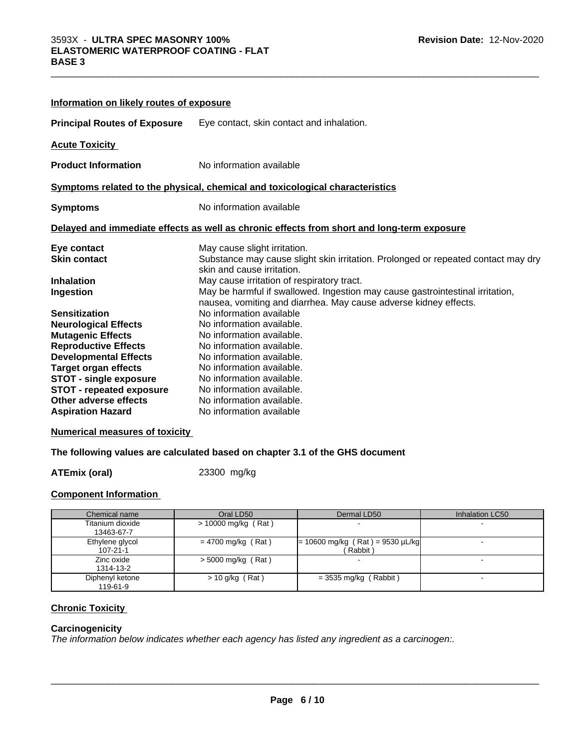| Information on likely routes of exposure |                                                                                                                                                   |
|------------------------------------------|---------------------------------------------------------------------------------------------------------------------------------------------------|
| <b>Principal Routes of Exposure</b>      | Eye contact, skin contact and inhalation.                                                                                                         |
| <b>Acute Toxicity</b>                    |                                                                                                                                                   |
| <b>Product Information</b>               | No information available                                                                                                                          |
|                                          | Symptoms related to the physical, chemical and toxicological characteristics                                                                      |
| <b>Symptoms</b>                          | No information available                                                                                                                          |
|                                          | Delayed and immediate effects as well as chronic effects from short and long-term exposure                                                        |
| Eye contact                              | May cause slight irritation.                                                                                                                      |
| <b>Skin contact</b>                      | Substance may cause slight skin irritation. Prolonged or repeated contact may dry<br>skin and cause irritation.                                   |
| <b>Inhalation</b>                        | May cause irritation of respiratory tract.                                                                                                        |
| Ingestion                                | May be harmful if swallowed. Ingestion may cause gastrointestinal irritation,<br>nausea, vomiting and diarrhea. May cause adverse kidney effects. |
| <b>Sensitization</b>                     | No information available                                                                                                                          |
| <b>Neurological Effects</b>              | No information available.                                                                                                                         |
| <b>Mutagenic Effects</b>                 | No information available.                                                                                                                         |
| <b>Reproductive Effects</b>              | No information available.                                                                                                                         |
| <b>Developmental Effects</b>             | No information available.                                                                                                                         |
| <b>Target organ effects</b>              | No information available.                                                                                                                         |
| <b>STOT - single exposure</b>            | No information available.                                                                                                                         |
| <b>STOT - repeated exposure</b>          | No information available.                                                                                                                         |
| Other adverse effects                    | No information available.                                                                                                                         |
| <b>Aspiration Hazard</b>                 | No information available                                                                                                                          |

#### **Numerical measures of toxicity**

#### **The following values are calculated based on chapter 3.1 of the GHS document**

**ATEmix (oral)** 23300 mg/kg

#### **Component Information**

| Chemical name                     | Oral LD50            | Dermal LD50                                   | Inhalation LC50 |
|-----------------------------------|----------------------|-----------------------------------------------|-----------------|
| Titanium dioxide<br>13463-67-7    | > 10000 mg/kg (Rat)  |                                               |                 |
| Ethylene glycol<br>$107 - 21 - 1$ | $= 4700$ mg/kg (Rat) | $= 10600$ mg/kg (Rat) = 9530 µL/kg<br>Rabbit) |                 |
| Zinc oxide<br>1314-13-2           | $>$ 5000 mg/kg (Rat) |                                               |                 |
| Diphenyl ketone<br>119-61-9       | $> 10$ g/kg (Rat)    | $=$ 3535 mg/kg (Rabbit)                       |                 |

### **Chronic Toxicity**

#### **Carcinogenicity**

*The information below indicateswhether each agency has listed any ingredient as a carcinogen:.*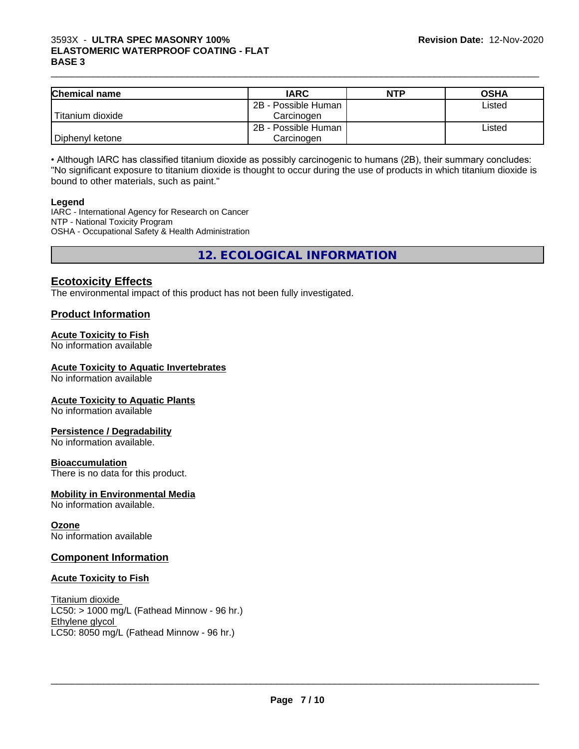#### $\_$  ,  $\_$  ,  $\_$  ,  $\_$  ,  $\_$  ,  $\_$  ,  $\_$  ,  $\_$  ,  $\_$  ,  $\_$  ,  $\_$  ,  $\_$  ,  $\_$  ,  $\_$  ,  $\_$  ,  $\_$  ,  $\_$  ,  $\_$  ,  $\_$  ,  $\_$  ,  $\_$  ,  $\_$  ,  $\_$  ,  $\_$  ,  $\_$  ,  $\_$  ,  $\_$  ,  $\_$  ,  $\_$  ,  $\_$  ,  $\_$  ,  $\_$  ,  $\_$  ,  $\_$  ,  $\_$  ,  $\_$  ,  $\_$  , 3593X - **ULTRA SPEC MASONRY 100% ELASTOMERIC WATERPROOF COATING - FLAT BASE 3**

| <b>Chemical name</b> | <b>IARC</b>         | <b>NTP</b> | <b>OSHA</b> |
|----------------------|---------------------|------------|-------------|
|                      | 2B - Possible Human |            | Listed      |
| Titanium dioxide     | Carcinoɑen          |            |             |
|                      | 2B - Possible Human |            | Listed      |
| Diphenyl ketone      | Carcinogen          |            |             |

• Although IARC has classified titanium dioxide as possibly carcinogenic to humans (2B), their summary concludes: "No significant exposure to titanium dioxide is thought to occur during the use of products in which titanium dioxide is bound to other materials, such as paint."

#### **Legend**

IARC - International Agency for Research on Cancer NTP - National Toxicity Program OSHA - Occupational Safety & Health Administration

**12. ECOLOGICAL INFORMATION**

# **Ecotoxicity Effects**

The environmental impact of this product has not been fully investigated.

# **Product Information**

#### **Acute Toxicity to Fish**

No information available

#### **Acute Toxicity to Aquatic Invertebrates**

No information available

#### **Acute Toxicity to Aquatic Plants**

No information available

#### **Persistence / Degradability**

No information available.

#### **Bioaccumulation**

There is no data for this product.

#### **Mobility in Environmental Media**

No information available.

#### **Ozone**

No information available

# **Component Information**

#### **Acute Toxicity to Fish**

Titanium dioxide  $LC50:$  > 1000 mg/L (Fathead Minnow - 96 hr.) Ethylene glycol LC50: 8050 mg/L (Fathead Minnow - 96 hr.)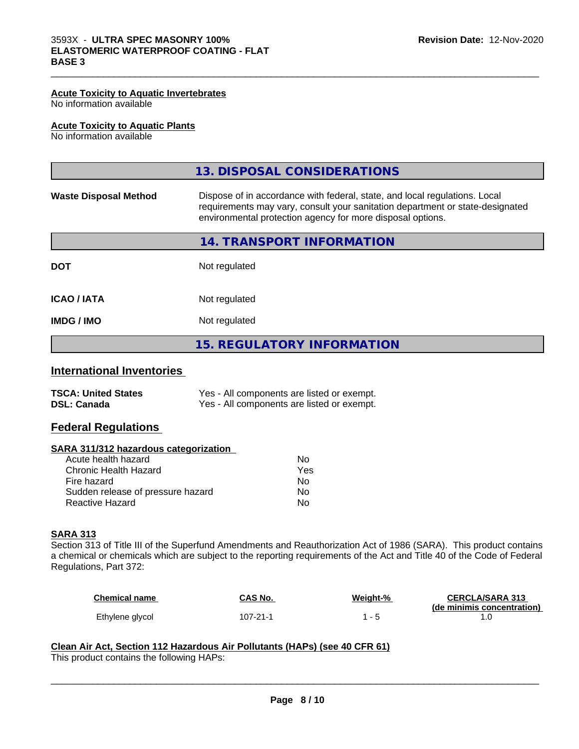#### **Acute Toxicity to Aquatic Invertebrates**

No information available

#### **Acute Toxicity to Aquatic Plants**

No information available

|                              | 13. DISPOSAL CONSIDERATIONS                                                                                                                                                                                               |
|------------------------------|---------------------------------------------------------------------------------------------------------------------------------------------------------------------------------------------------------------------------|
| <b>Waste Disposal Method</b> | Dispose of in accordance with federal, state, and local regulations. Local<br>requirements may vary, consult your sanitation department or state-designated<br>environmental protection agency for more disposal options. |
|                              | 14. TRANSPORT INFORMATION                                                                                                                                                                                                 |
| <b>DOT</b>                   | Not regulated                                                                                                                                                                                                             |
| <b>ICAO / IATA</b>           | Not regulated                                                                                                                                                                                                             |
| <b>IMDG/IMO</b>              | Not regulated                                                                                                                                                                                                             |
|                              | <b>15. REGULATORY INFORMATION</b>                                                                                                                                                                                         |

 $\_$  ,  $\_$  ,  $\_$  ,  $\_$  ,  $\_$  ,  $\_$  ,  $\_$  ,  $\_$  ,  $\_$  ,  $\_$  ,  $\_$  ,  $\_$  ,  $\_$  ,  $\_$  ,  $\_$  ,  $\_$  ,  $\_$  ,  $\_$  ,  $\_$  ,  $\_$  ,  $\_$  ,  $\_$  ,  $\_$  ,  $\_$  ,  $\_$  ,  $\_$  ,  $\_$  ,  $\_$  ,  $\_$  ,  $\_$  ,  $\_$  ,  $\_$  ,  $\_$  ,  $\_$  ,  $\_$  ,  $\_$  ,  $\_$  ,

# **International Inventories**

| <b>TSCA: United States</b> | Yes - All components are listed or exempt. |
|----------------------------|--------------------------------------------|
| <b>DSL: Canada</b>         | Yes - All components are listed or exempt. |

#### **Federal Regulations**

#### **SARA 311/312 hazardous categorization**

| Acute health hazard               | N٥  |
|-----------------------------------|-----|
| Chronic Health Hazard             | Yes |
| Fire hazard                       | Nο  |
| Sudden release of pressure hazard | Nο  |
| Reactive Hazard                   | N٥  |

# **SARA 313**

Section 313 of Title III of the Superfund Amendments and Reauthorization Act of 1986 (SARA). This product contains a chemical or chemicals which are subject to the reporting requirements of the Act and Title 40 of the Code of Federal Regulations, Part 372:

| <b>Chemical name</b> | CAS No.        | Weight-% | <b>CERCLA/SARA 313</b>     |
|----------------------|----------------|----------|----------------------------|
|                      |                |          | (de minimis concentration) |
| Ethylene glycol      | $107 - 21 - 1$ |          |                            |

 $\overline{\phantom{a}}$  ,  $\overline{\phantom{a}}$  ,  $\overline{\phantom{a}}$  ,  $\overline{\phantom{a}}$  ,  $\overline{\phantom{a}}$  ,  $\overline{\phantom{a}}$  ,  $\overline{\phantom{a}}$  ,  $\overline{\phantom{a}}$  ,  $\overline{\phantom{a}}$  ,  $\overline{\phantom{a}}$  ,  $\overline{\phantom{a}}$  ,  $\overline{\phantom{a}}$  ,  $\overline{\phantom{a}}$  ,  $\overline{\phantom{a}}$  ,  $\overline{\phantom{a}}$  ,  $\overline{\phantom{a}}$ 

#### **Clean Air Act,Section 112 Hazardous Air Pollutants (HAPs) (see 40 CFR 61)** This product contains the following HAPs: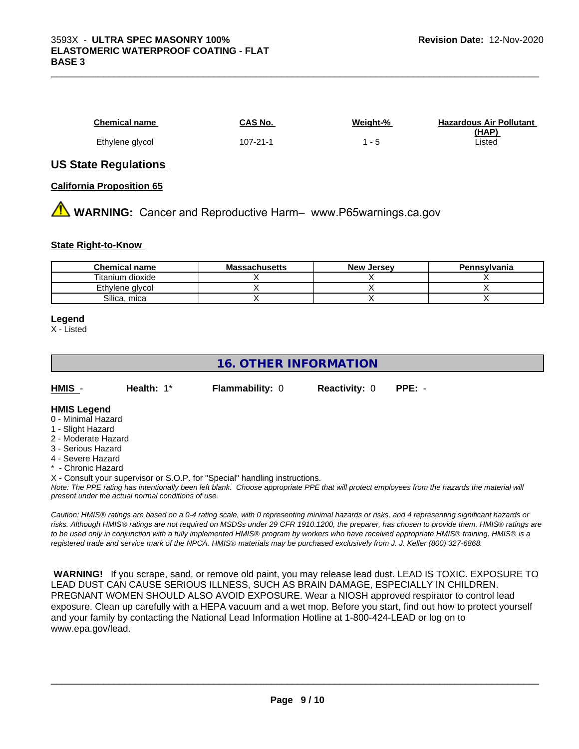| <b>Chemical name</b> | CAS No.  | Weight-% | <b>Hazardous Air Pollutant</b> |
|----------------------|----------|----------|--------------------------------|
| Ethylene glycol      | 107-21-1 |          | (HAP)<br>∟isted                |

#### **US State Regulations**

**California Proposition 65**

**A** WARNING: Cancer and Reproductive Harm– www.P65warnings.ca.gov

#### **State Right-to-Know**

| <b>Chemical name</b> | <b>Massachusetts</b> | <b>New Jersey</b> | Pennsylvania |
|----------------------|----------------------|-------------------|--------------|
| Titanium dioxide     |                      |                   |              |
| Ethylene glycol      |                      |                   |              |
| Silica, mica         |                      |                   |              |

#### **Legend**

X - Listed

# **16. OTHER INFORMATION**

| HMIS | Health: 1* | <b>Flammability: 0</b> | <b>Reactivity: 0</b> | PPE: - |
|------|------------|------------------------|----------------------|--------|
|      |            |                        |                      |        |

#### **HMIS Legend**

- 0 Minimal Hazard
- 1 Slight Hazard
- 2 Moderate Hazard
- 3 Serious Hazard
- 4 Severe Hazard
- Chronic Hazard
- X Consult your supervisor or S.O.P. for "Special" handling instructions.

*Note: The PPE rating has intentionally been left blank. Choose appropriate PPE that will protect employees from the hazards the material will present under the actual normal conditions of use.*

*Caution: HMISÒ ratings are based on a 0-4 rating scale, with 0 representing minimal hazards or risks, and 4 representing significant hazards or risks. Although HMISÒ ratings are not required on MSDSs under 29 CFR 1910.1200, the preparer, has chosen to provide them. HMISÒ ratings are to be used only in conjunction with a fully implemented HMISÒ program by workers who have received appropriate HMISÒ training. HMISÒ is a registered trade and service mark of the NPCA. HMISÒ materials may be purchased exclusively from J. J. Keller (800) 327-6868.*

 **WARNING!** If you scrape, sand, or remove old paint, you may release lead dust. LEAD IS TOXIC. EXPOSURE TO LEAD DUST CAN CAUSE SERIOUS ILLNESS, SUCH AS BRAIN DAMAGE, ESPECIALLY IN CHILDREN. PREGNANT WOMEN SHOULD ALSO AVOID EXPOSURE.Wear a NIOSH approved respirator to control lead exposure. Clean up carefully with a HEPA vacuum and a wet mop. Before you start, find out how to protect yourself and your family by contacting the National Lead Information Hotline at 1-800-424-LEAD or log on to www.epa.gov/lead.